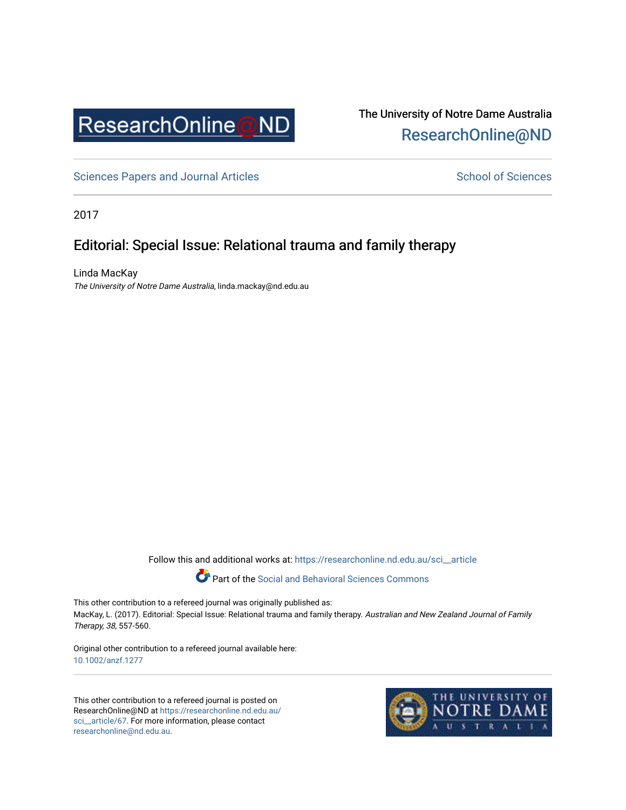

### The University of Notre Dame Australia [ResearchOnline@ND](https://researchonline.nd.edu.au/)

[Sciences Papers and Journal Articles](https://researchonline.nd.edu.au/sci__article) Sciences School of Sciences

2017

### Editorial: Special Issue: Relational trauma and family therapy

Linda MacKay The University of Notre Dame Australia, linda.mackay@nd.edu.au

Follow this and additional works at: [https://researchonline.nd.edu.au/sci\\_\\_article](https://researchonline.nd.edu.au/sci__article?utm_source=researchonline.nd.edu.au%2Fsci__article%2F67&utm_medium=PDF&utm_campaign=PDFCoverPages) 



This other contribution to a refereed journal was originally published as: MacKay, L. (2017). Editorial: Special Issue: Relational trauma and family therapy. Australian and New Zealand Journal of Family Therapy, 38, 557-560.

Original other contribution to a refereed journal available here: [10.1002/anzf.1277](https://doi.org/10.1002/anzf.1277) 

This other contribution to a refereed journal is posted on ResearchOnline@ND at [https://researchonline.nd.edu.au/](https://researchonline.nd.edu.au/sci__article/67) [sci\\_\\_article/67.](https://researchonline.nd.edu.au/sci__article/67) For more information, please contact [researchonline@nd.edu.au.](mailto:researchonline@nd.edu.au)

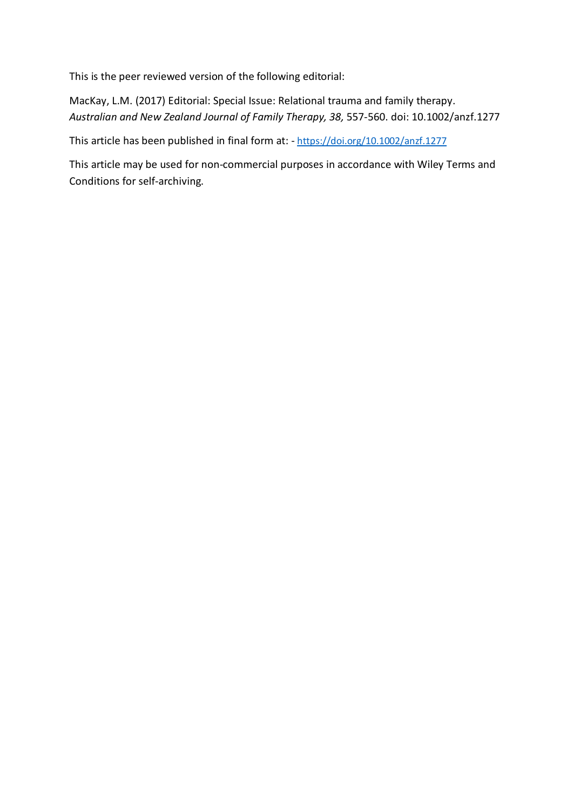This is the peer reviewed version of the following editorial:

MacKay, L.M. (2017) Editorial: Special Issue: Relational trauma and family therapy. *Australian and New Zealand Journal of Family Therapy, 38,* 557-560. doi: 10.1002/anzf.1277

This article has been published in final form at: - <https://doi.org/10.1002/anzf.1277>

This article may be used for non-commercial purposes in accordance with Wiley Terms and Conditions for self-archiving.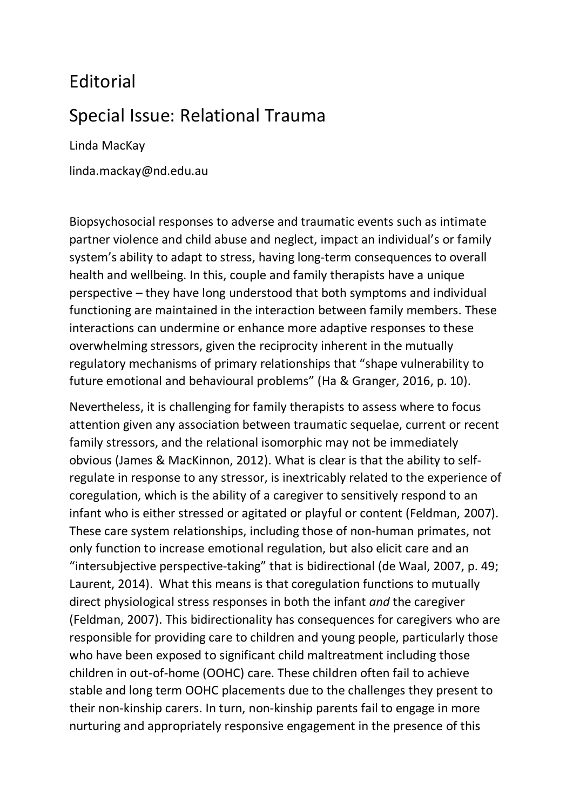## Editorial

# Special Issue: Relational Trauma

Linda MacKay

linda.mackay@nd.edu.au

Biopsychosocial responses to adverse and traumatic events such as intimate partner violence and child abuse and neglect, impact an individual's or family system's ability to adapt to stress, having long-term consequences to overall health and wellbeing. In this, couple and family therapists have a unique perspective – they have long understood that both symptoms and individual functioning are maintained in the interaction between family members. These interactions can undermine or enhance more adaptive responses to these overwhelming stressors, given the reciprocity inherent in the mutually regulatory mechanisms of primary relationships that "shape vulnerability to future emotional and behavioural problems" (Ha & Granger, 2016, p. 10).

Nevertheless, it is challenging for family therapists to assess where to focus attention given any association between traumatic sequelae, current or recent family stressors, and the relational isomorphic may not be immediately obvious (James & MacKinnon, 2012). What is clear is that the ability to selfregulate in response to any stressor, is inextricably related to the experience of coregulation, which is the ability of a caregiver to sensitively respond to an infant who is either stressed or agitated or playful or content (Feldman, 2007). These care system relationships, including those of non-human primates, not only function to increase emotional regulation, but also elicit care and an "intersubjective perspective-taking" that is bidirectional (de Waal, 2007, p. 49; Laurent, 2014). What this means is that coregulation functions to mutually direct physiological stress responses in both the infant *and* the caregiver (Feldman, 2007). This bidirectionality has consequences for caregivers who are responsible for providing care to children and young people, particularly those who have been exposed to significant child maltreatment including those children in out-of-home (OOHC) care. These children often fail to achieve stable and long term OOHC placements due to the challenges they present to their non-kinship carers. In turn, non-kinship parents fail to engage in more nurturing and appropriately responsive engagement in the presence of this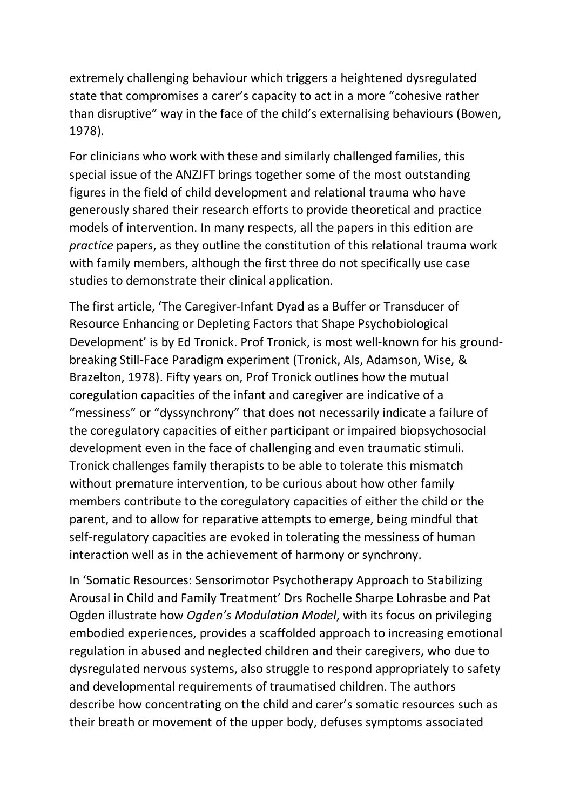extremely challenging behaviour which triggers a heightened dysregulated state that compromises a carer's capacity to act in a more "cohesive rather than disruptive" way in the face of the child's externalising behaviours (Bowen, 1978).

For clinicians who work with these and similarly challenged families, this special issue of the ANZJFT brings together some of the most outstanding figures in the field of child development and relational trauma who have generously shared their research efforts to provide theoretical and practice models of intervention. In many respects, all the papers in this edition are *practice* papers, as they outline the constitution of this relational trauma work with family members, although the first three do not specifically use case studies to demonstrate their clinical application.

The first article, 'The Caregiver-Infant Dyad as a Buffer or Transducer of Resource Enhancing or Depleting Factors that Shape Psychobiological Development' is by Ed Tronick. Prof Tronick, is most well-known for his groundbreaking Still-Face Paradigm experiment (Tronick, Als, Adamson, Wise, & Brazelton, 1978). Fifty years on, Prof Tronick outlines how the mutual coregulation capacities of the infant and caregiver are indicative of a "messiness" or "dyssynchrony" that does not necessarily indicate a failure of the coregulatory capacities of either participant or impaired biopsychosocial development even in the face of challenging and even traumatic stimuli. Tronick challenges family therapists to be able to tolerate this mismatch without premature intervention, to be curious about how other family members contribute to the coregulatory capacities of either the child or the parent, and to allow for reparative attempts to emerge, being mindful that self-regulatory capacities are evoked in tolerating the messiness of human interaction well as in the achievement of harmony or synchrony.

In 'Somatic Resources: Sensorimotor Psychotherapy Approach to Stabilizing Arousal in Child and Family Treatment' Drs Rochelle Sharpe Lohrasbe and Pat Ogden illustrate how *Ogden's Modulation Model*, with its focus on privileging embodied experiences, provides a scaffolded approach to increasing emotional regulation in abused and neglected children and their caregivers, who due to dysregulated nervous systems, also struggle to respond appropriately to safety and developmental requirements of traumatised children. The authors describe how concentrating on the child and carer's somatic resources such as their breath or movement of the upper body, defuses symptoms associated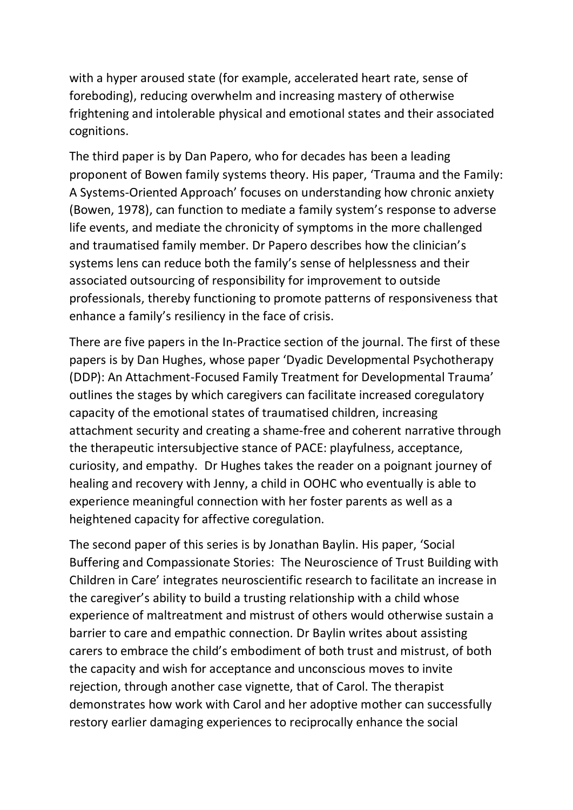with a hyper aroused state (for example, accelerated heart rate, sense of foreboding), reducing overwhelm and increasing mastery of otherwise frightening and intolerable physical and emotional states and their associated cognitions.

The third paper is by Dan Papero, who for decades has been a leading proponent of Bowen family systems theory. His paper, 'Trauma and the Family: A Systems-Oriented Approach' focuses on understanding how chronic anxiety (Bowen, 1978), can function to mediate a family system's response to adverse life events, and mediate the chronicity of symptoms in the more challenged and traumatised family member. Dr Papero describes how the clinician's systems lens can reduce both the family's sense of helplessness and their associated outsourcing of responsibility for improvement to outside professionals, thereby functioning to promote patterns of responsiveness that enhance a family's resiliency in the face of crisis.

There are five papers in the In-Practice section of the journal. The first of these papers is by Dan Hughes, whose paper 'Dyadic Developmental Psychotherapy (DDP): An Attachment-Focused Family Treatment for Developmental Trauma' outlines the stages by which caregivers can facilitate increased coregulatory capacity of the emotional states of traumatised children, increasing attachment security and creating a shame-free and coherent narrative through the therapeutic intersubjective stance of PACE: playfulness, acceptance, curiosity, and empathy. Dr Hughes takes the reader on a poignant journey of healing and recovery with Jenny, a child in OOHC who eventually is able to experience meaningful connection with her foster parents as well as a heightened capacity for affective coregulation.

The second paper of this series is by Jonathan Baylin. His paper, 'Social Buffering and Compassionate Stories: The Neuroscience of Trust Building with Children in Care' integrates neuroscientific research to facilitate an increase in the caregiver's ability to build a trusting relationship with a child whose experience of maltreatment and mistrust of others would otherwise sustain a barrier to care and empathic connection. Dr Baylin writes about assisting carers to embrace the child's embodiment of both trust and mistrust, of both the capacity and wish for acceptance and unconscious moves to invite rejection, through another case vignette, that of Carol. The therapist demonstrates how work with Carol and her adoptive mother can successfully restory earlier damaging experiences to reciprocally enhance the social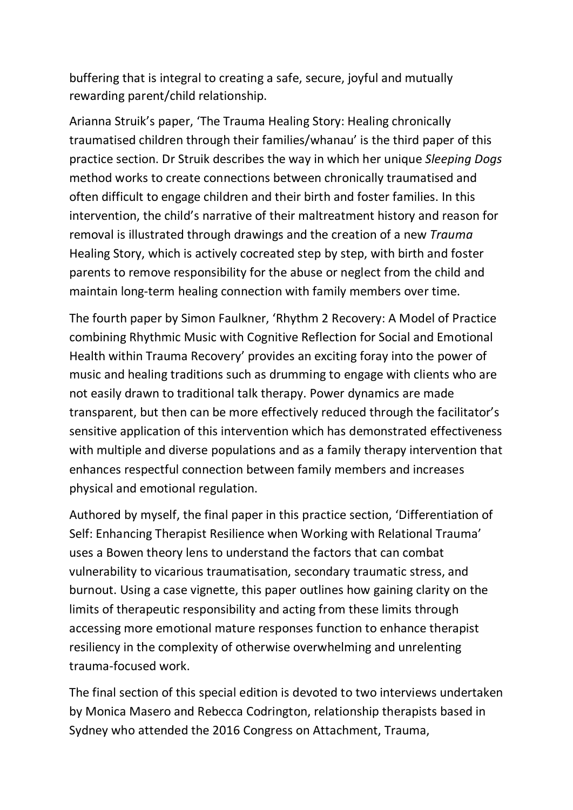buffering that is integral to creating a safe, secure, joyful and mutually rewarding parent/child relationship.

Arianna Struik's paper, 'The Trauma Healing Story: Healing chronically traumatised children through their families/whanau' is the third paper of this practice section. Dr Struik describes the way in which her unique *Sleeping Dogs* method works to create connections between chronically traumatised and often difficult to engage children and their birth and foster families. In this intervention, the child's narrative of their maltreatment history and reason for removal is illustrated through drawings and the creation of a new *Trauma*  Healing Story, which is actively cocreated step by step, with birth and foster parents to remove responsibility for the abuse or neglect from the child and maintain long-term healing connection with family members over time.

The fourth paper by Simon Faulkner, 'Rhythm 2 Recovery: A Model of Practice combining Rhythmic Music with Cognitive Reflection for Social and Emotional Health within Trauma Recovery' provides an exciting foray into the power of music and healing traditions such as drumming to engage with clients who are not easily drawn to traditional talk therapy. Power dynamics are made transparent, but then can be more effectively reduced through the facilitator's sensitive application of this intervention which has demonstrated effectiveness with multiple and diverse populations and as a family therapy intervention that enhances respectful connection between family members and increases physical and emotional regulation.

Authored by myself, the final paper in this practice section, 'Differentiation of Self: Enhancing Therapist Resilience when Working with Relational Trauma' uses a Bowen theory lens to understand the factors that can combat vulnerability to vicarious traumatisation, secondary traumatic stress, and burnout. Using a case vignette, this paper outlines how gaining clarity on the limits of therapeutic responsibility and acting from these limits through accessing more emotional mature responses function to enhance therapist resiliency in the complexity of otherwise overwhelming and unrelenting trauma-focused work.

The final section of this special edition is devoted to two interviews undertaken by Monica Masero and Rebecca Codrington, relationship therapists based in Sydney who attended the 2016 Congress on Attachment, Trauma,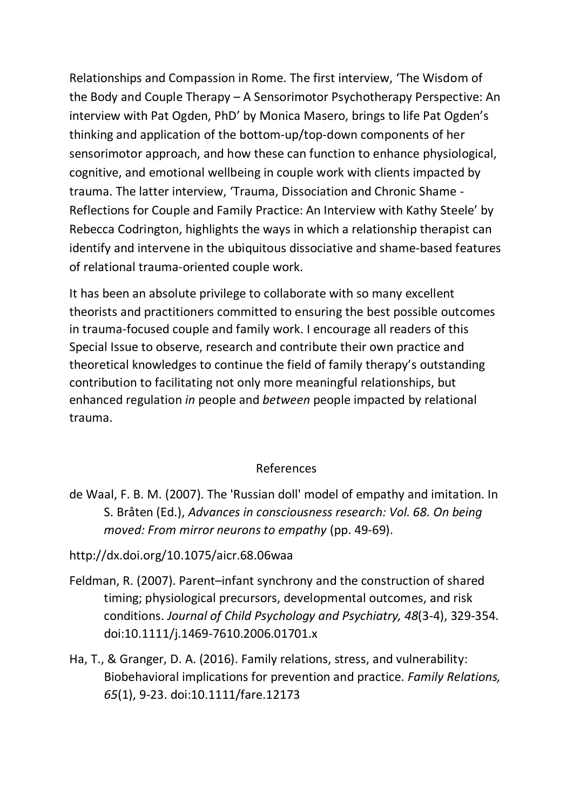Relationships and Compassion in Rome. The first interview, 'The Wisdom of the Body and Couple Therapy – A Sensorimotor Psychotherapy Perspective: An interview with Pat Ogden, PhD' by Monica Masero, brings to life Pat Ogden's thinking and application of the bottom-up/top-down components of her sensorimotor approach, and how these can function to enhance physiological, cognitive, and emotional wellbeing in couple work with clients impacted by trauma. The latter interview, 'Trauma, Dissociation and Chronic Shame - Reflections for Couple and Family Practice: An Interview with Kathy Steele' by Rebecca Codrington, highlights the ways in which a relationship therapist can identify and intervene in the ubiquitous dissociative and shame-based features of relational trauma-oriented couple work.

It has been an absolute privilege to collaborate with so many excellent theorists and practitioners committed to ensuring the best possible outcomes in trauma-focused couple and family work. I encourage all readers of this Special Issue to observe, research and contribute their own practice and theoretical knowledges to continue the field of family therapy's outstanding contribution to facilitating not only more meaningful relationships, but enhanced regulation *in* people and *between* people impacted by relational trauma.

#### References

de Waal, F. B. M. (2007). The 'Russian doll' model of empathy and imitation. In S. Bråten (Ed.), *Advances in consciousness research: Vol. 68. On being moved: From mirror neurons to empathy* (pp. 49-69).

http://dx.doi.org/10.1075/aicr.68.06waa

- Feldman, R. (2007). Parent–infant synchrony and the construction of shared timing; physiological precursors, developmental outcomes, and risk conditions. *Journal of Child Psychology and Psychiatry, 48*(3-4), 329-354. doi:10.1111/j.1469-7610.2006.01701.x
- Ha, T., & Granger, D. A. (2016). Family relations, stress, and vulnerability: Biobehavioral implications for prevention and practice. *Family Relations, 65*(1), 9-23. doi:10.1111/fare.12173